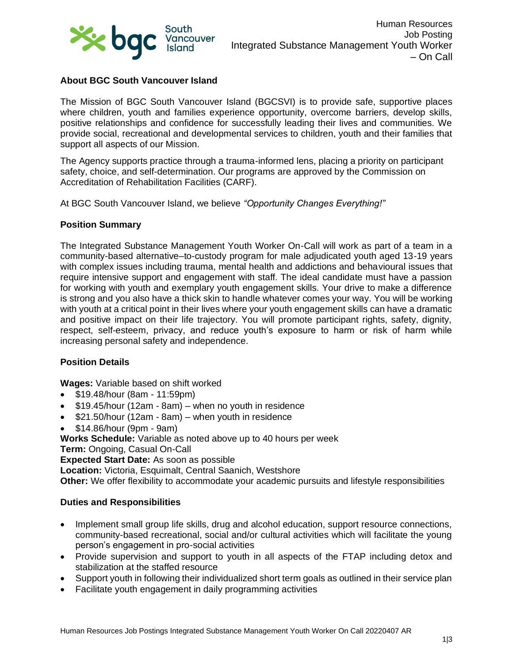

# **About BGC South Vancouver Island**

The Mission of BGC South Vancouver Island (BGCSVI) is to provide safe, supportive places where children, youth and families experience opportunity, overcome barriers, develop skills, positive relationships and confidence for successfully leading their lives and communities. We provide social, recreational and developmental services to children, youth and their families that support all aspects of our Mission.

The Agency supports practice through a trauma-informed lens, placing a priority on participant safety, choice, and self-determination. Our programs are approved by the Commission on Accreditation of Rehabilitation Facilities (CARF).

At BGC South Vancouver Island, we believe *"Opportunity Changes Everything!"*

#### **Position Summary**

The Integrated Substance Management Youth Worker On-Call will work as part of a team in a community-based alternative–to-custody program for male adjudicated youth aged 13-19 years with complex issues including trauma, mental health and addictions and behavioural issues that require intensive support and engagement with staff. The ideal candidate must have a passion for working with youth and exemplary youth engagement skills. Your drive to make a difference is strong and you also have a thick skin to handle whatever comes your way. You will be working with youth at a critical point in their lives where your youth engagement skills can have a dramatic and positive impact on their life trajectory. You will promote participant rights, safety, dignity, respect, self-esteem, privacy, and reduce youth's exposure to harm or risk of harm while increasing personal safety and independence.

## **Position Details**

**Wages:** Variable based on shift worked

- \$19.48/hour (8am 11:59pm)
- \$19.45/hour (12am 8am) when no youth in residence
- \$21.50/hour (12am 8am) when youth in residence
- \$14.86/hour (9pm 9am)

**Works Schedule:** Variable as noted above up to 40 hours per week

**Term:** Ongoing, Casual On-Call

**Expected Start Date:** As soon as possible

**Location:** Victoria, Esquimalt, Central Saanich, Westshore

**Other:** We offer flexibility to accommodate your academic pursuits and lifestyle responsibilities

#### **Duties and Responsibilities**

- Implement small group life skills, drug and alcohol education, support resource connections, community-based recreational, social and/or cultural activities which will facilitate the young person's engagement in pro-social activities
- Provide supervision and support to youth in all aspects of the FTAP including detox and stabilization at the staffed resource
- Support youth in following their individualized short term goals as outlined in their service plan
- Facilitate youth engagement in daily programming activities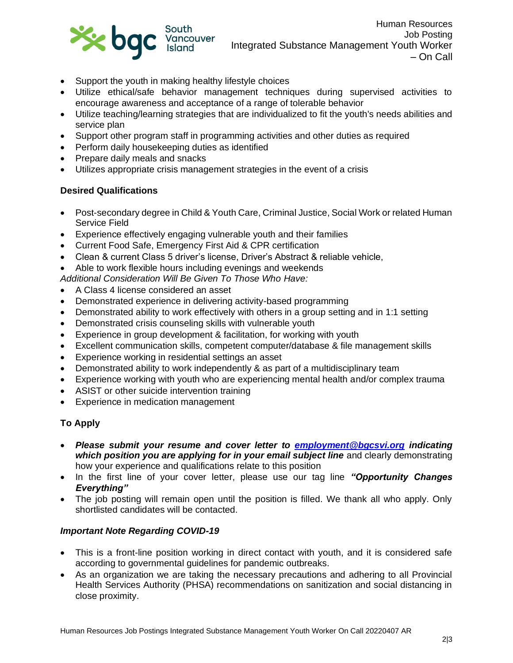

- Support the youth in making healthy lifestyle choices
- Utilize ethical/safe behavior management techniques during supervised activities to encourage awareness and acceptance of a range of tolerable behavior
- Utilize teaching/learning strategies that are individualized to fit the youth's needs abilities and service plan
- Support other program staff in programming activities and other duties as required
- Perform daily housekeeping duties as identified
- Prepare daily meals and snacks
- Utilizes appropriate crisis management strategies in the event of a crisis

## **Desired Qualifications**

- Post-secondary degree in Child & Youth Care, Criminal Justice, Social Work or related Human Service Field
- Experience effectively engaging vulnerable youth and their families
- Current Food Safe, Emergency First Aid & CPR certification
- Clean & current Class 5 driver's license, Driver's Abstract & reliable vehicle,
- Able to work flexible hours including evenings and weekends

*Additional Consideration Will Be Given To Those Who Have:*

- A Class 4 license considered an asset
- Demonstrated experience in delivering activity-based programming
- Demonstrated ability to work effectively with others in a group setting and in 1:1 setting
- Demonstrated crisis counseling skills with vulnerable youth
- Experience in group development & facilitation, for working with youth
- Excellent communication skills, competent computer/database & file management skills
- Experience working in residential settings an asset
- Demonstrated ability to work independently & as part of a multidisciplinary team
- Experience working with youth who are experiencing mental health and/or complex trauma
- ASIST or other suicide intervention training
- Experience in medication management

# **To Apply**

- *Please submit your resume and cover letter to [employment@bgcsvi.org](mailto:employment@bgcsvi.org) indicating which position you are applying for in your email subject line* and clearly demonstrating how your experience and qualifications relate to this position
- In the first line of your cover letter, please use our tag line *"Opportunity Changes Everything"*
- The job posting will remain open until the position is filled. We thank all who apply. Only shortlisted candidates will be contacted.

## *Important Note Regarding COVID-19*

- This is a front-line position working in direct contact with youth, and it is considered safe according to governmental guidelines for pandemic outbreaks.
- As an organization we are taking the necessary precautions and adhering to all Provincial Health Services Authority (PHSA) recommendations on sanitization and social distancing in close proximity.